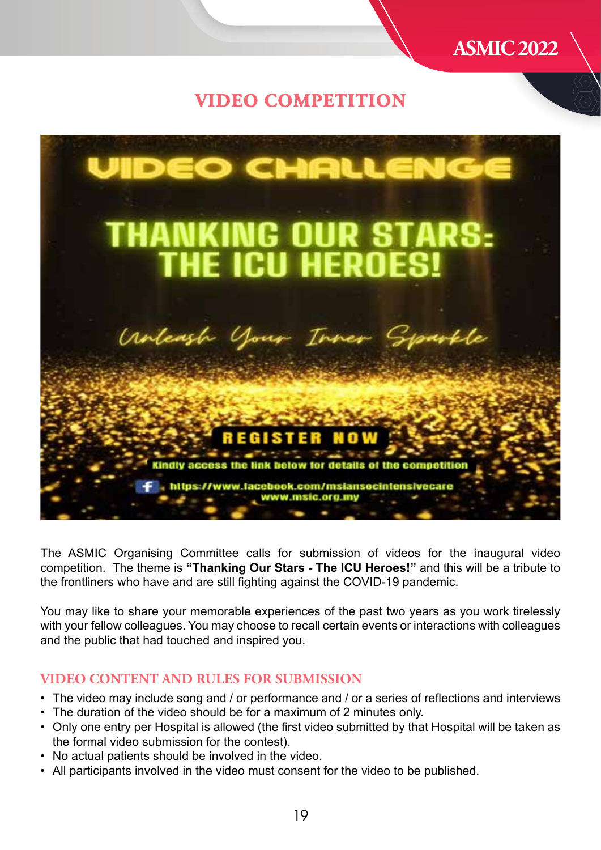

## **VIDEO COMPETITION**



The ASMIC Organising Committee calls for submission of videos for the inaugural video competition. The theme is **"Thanking Our Stars - The ICU Heroes!"** and this will be a tribute to the frontliners who have and are still fighting against the COVID-19 pandemic.

You may like to share your memorable experiences of the past two years as you work tirelessly with your fellow colleagues. You may choose to recall certain events or interactions with colleagues and the public that had touched and inspired you.

### **VIDEO CONTENT AND RULES FOR SUBMISSION**

- The video may include song and / or performance and / or a series of reflections and interviews
- The duration of the video should be for a maximum of 2 minutes only.
- Only one entry per Hospital is allowed (the first video submitted by that Hospital will be taken as the formal video submission for the contest).
- No actual patients should be involved in the video.
- All participants involved in the video must consent for the video to be published.